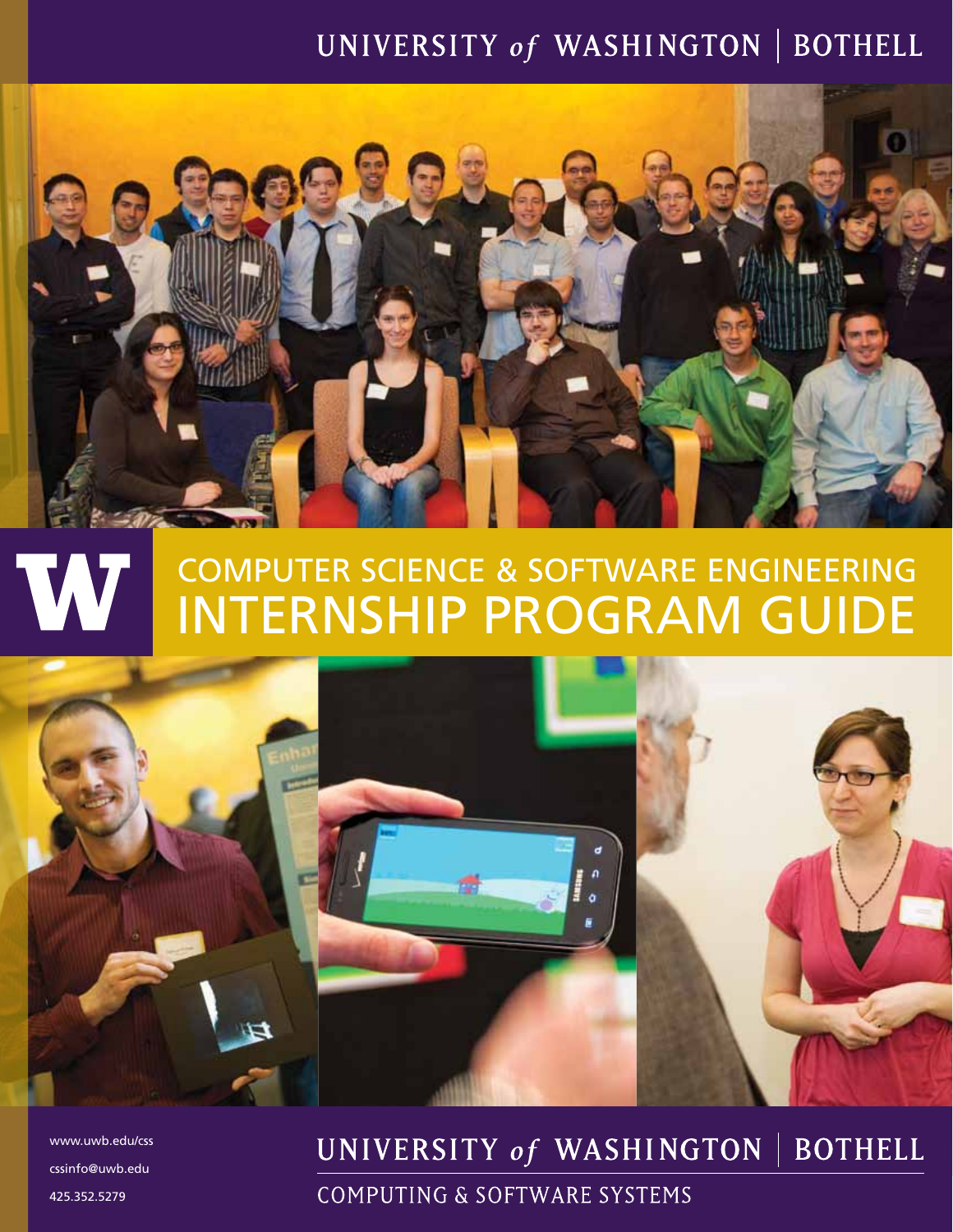# UNIVERSITY of WASHINGTON | BOTHELL



#### computer science & software engineering W internship program guide



www.uwb.edu/css cssinfo@uwb.edu 425.352.5279

#### UNIVERSITY of WASHINGTON **BOTHELL**

COMPUTING & SOFTWARE SYSTEMS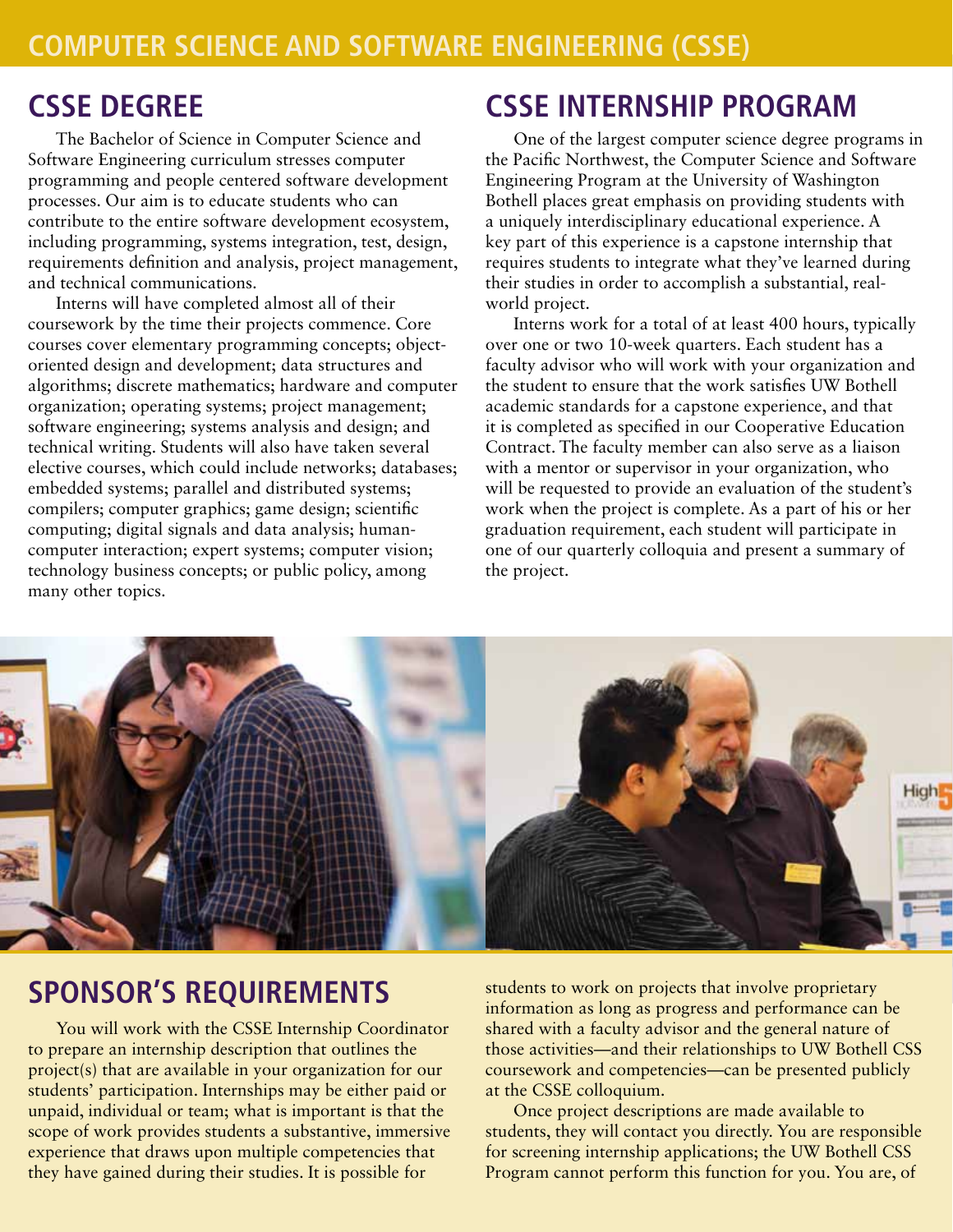### **cssE degree**

The Bachelor of Science in Computer Science and Software Engineering curriculum stresses computer programming and people centered software development processes. Our aim is to educate students who can contribute to the entire software development ecosystem, including programming, systems integration, test, design, requirements definition and analysis, project management, and technical communications.

Interns will have completed almost all of their coursework by the time their projects commence. Core courses cover elementary programming concepts; objectoriented design and development; data structures and algorithms; discrete mathematics; hardware and computer organization; operating systems; project management; software engineering; systems analysis and design; and technical writing. Students will also have taken several elective courses, which could include networks; databases; embedded systems; parallel and distributed systems; compilers; computer graphics; game design; scientific computing; digital signals and data analysis; humancomputer interaction; expert systems; computer vision; technology business concepts; or public policy, among many other topics.

# **cssE internship program**

One of the largest computer science degree programs in the Pacific Northwest, the Computer Science and Software Engineering Program at the University of Washington Bothell places great emphasis on providing students with a uniquely interdisciplinary educational experience. A key part of this experience is a capstone internship that requires students to integrate what they've learned during their studies in order to accomplish a substantial, realworld project.

Interns work for a total of at least 400 hours, typically over one or two 10-week quarters. Each student has a faculty advisor who will work with your organization and the student to ensure that the work satisfies UW Bothell academic standards for a capstone experience, and that it is completed as specified in our Cooperative Education Contract. The faculty member can also serve as a liaison with a mentor or supervisor in your organization, who will be requested to provide an evaluation of the student's work when the project is complete. As a part of his or her graduation requirement, each student will participate in one of our quarterly colloquia and present a summary of the project.



### **sponsor's requirements**

You will work with the CSSE Internship Coordinator to prepare an internship description that outlines the project(s) that are available in your organization for our students' participation. Internships may be either paid or unpaid, individual or team; what is important is that the scope of work provides students a substantive, immersive experience that draws upon multiple competencies that they have gained during their studies. It is possible for

students to work on projects that involve proprietary information as long as progress and performance can be shared with a faculty advisor and the general nature of those activities—and their relationships to UW Bothell CSS coursework and competencies—can be presented publicly at the CSSE colloquium.

Once project descriptions are made available to students, they will contact you directly. You are responsible for screening internship applications; the UW Bothell CSS Program cannot perform this function for you. You are, of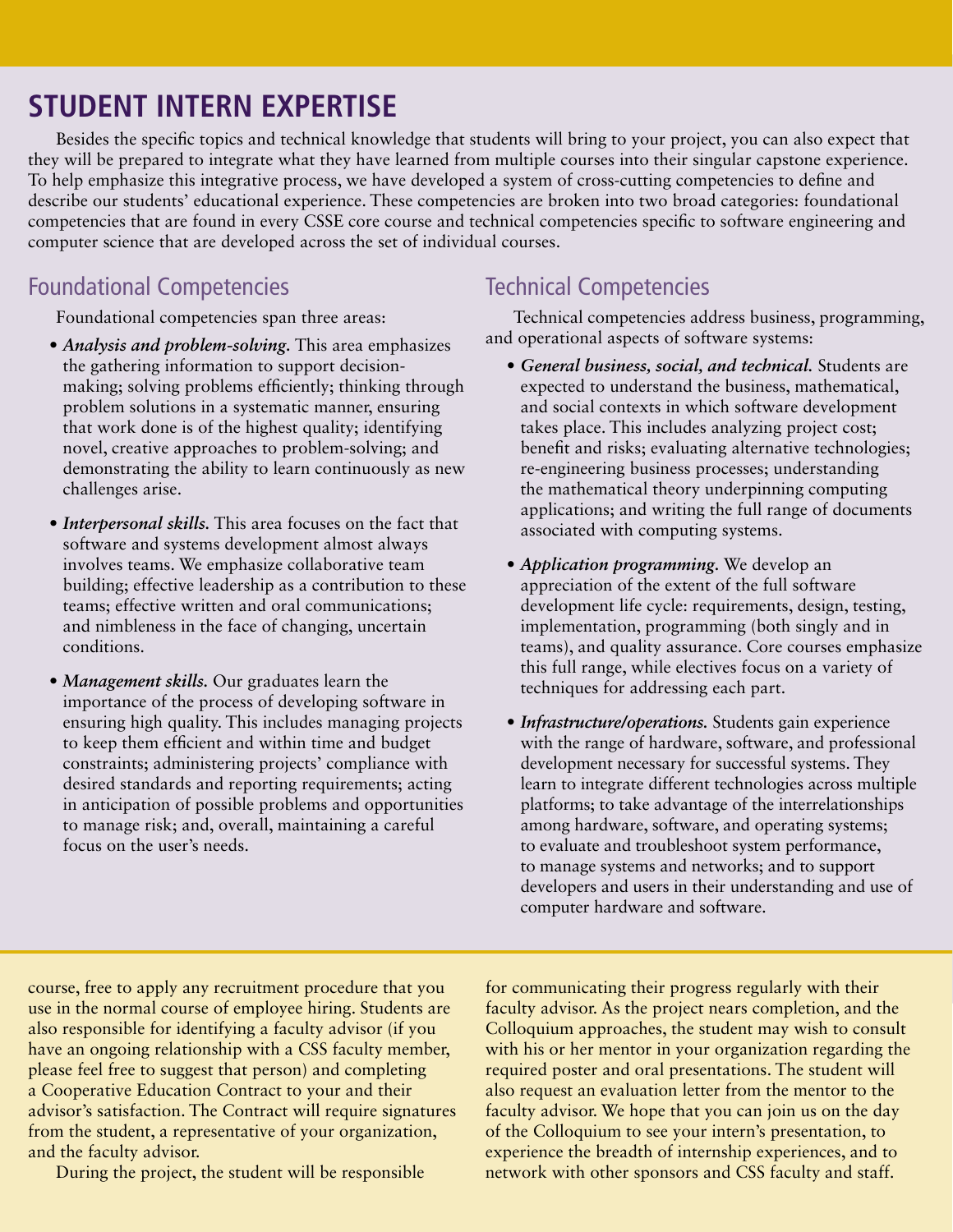# **student intern EXPERTISE**

Besides the specific topics and technical knowledge that students will bring to your project, you can also expect that they will be prepared to integrate what they have learned from multiple courses into their singular capstone experience. To help emphasize this integrative process, we have developed a system of cross-cutting competencies to define and describe our students' educational experience. These competencies are broken into two broad categories: foundational competencies that are found in every CSSE core course and technical competencies specific to software engineering and computer science that are developed across the set of individual courses.

#### Foundational Competencies

Foundational competencies span three areas:

- *• Analysis and problem-solving.* This area emphasizes the gathering information to support decisionmaking; solving problems efficiently; thinking through problem solutions in a systematic manner, ensuring that work done is of the highest quality; identifying novel, creative approaches to problem-solving; and demonstrating the ability to learn continuously as new challenges arise.
- *Interpersonal skills*. This area focuses on the fact that software and systems development almost always involves teams. We emphasize collaborative team building; effective leadership as a contribution to these teams; effective written and oral communications; and nimbleness in the face of changing, uncertain conditions.
- *Management skills.* Our graduates learn the importance of the process of developing software in ensuring high quality. This includes managing projects to keep them efficient and within time and budget constraints; administering projects' compliance with desired standards and reporting requirements; acting in anticipation of possible problems and opportunities to manage risk; and, overall, maintaining a careful focus on the user's needs.

#### Technical Competencies

Technical competencies address business, programming, and operational aspects of software systems:

- *• General business, social, and technical.* Students are expected to understand the business, mathematical, and social contexts in which software development takes place. This includes analyzing project cost; benefit and risks; evaluating alternative technologies; re-engineering business processes; understanding the mathematical theory underpinning computing applications; and writing the full range of documents associated with computing systems.
- *• Application programming.* We develop an appreciation of the extent of the full software development life cycle: requirements, design, testing, implementation, programming (both singly and in teams), and quality assurance. Core courses emphasize this full range, while electives focus on a variety of techniques for addressing each part.
- *Infrastructure/operations*. Students gain experience with the range of hardware, software, and professional development necessary for successful systems. They learn to integrate different technologies across multiple platforms; to take advantage of the interrelationships among hardware, software, and operating systems; to evaluate and troubleshoot system performance, to manage systems and networks; and to support developers and users in their understanding and use of computer hardware and software.

course, free to apply any recruitment procedure that you use in the normal course of employee hiring. Students are also responsible for identifying a faculty advisor (if you have an ongoing relationship with a CSS faculty member, please feel free to suggest that person) and completing a Cooperative Education Contract to your and their advisor's satisfaction. The Contract will require signatures from the student, a representative of your organization, and the faculty advisor.

During the project, the student will be responsible

for communicating their progress regularly with their faculty advisor. As the project nears completion, and the Colloquium approaches, the student may wish to consult with his or her mentor in your organization regarding the required poster and oral presentations. The student will also request an evaluation letter from the mentor to the faculty advisor. We hope that you can join us on the day of the Colloquium to see your intern's presentation, to experience the breadth of internship experiences, and to network with other sponsors and CSS faculty and staff.